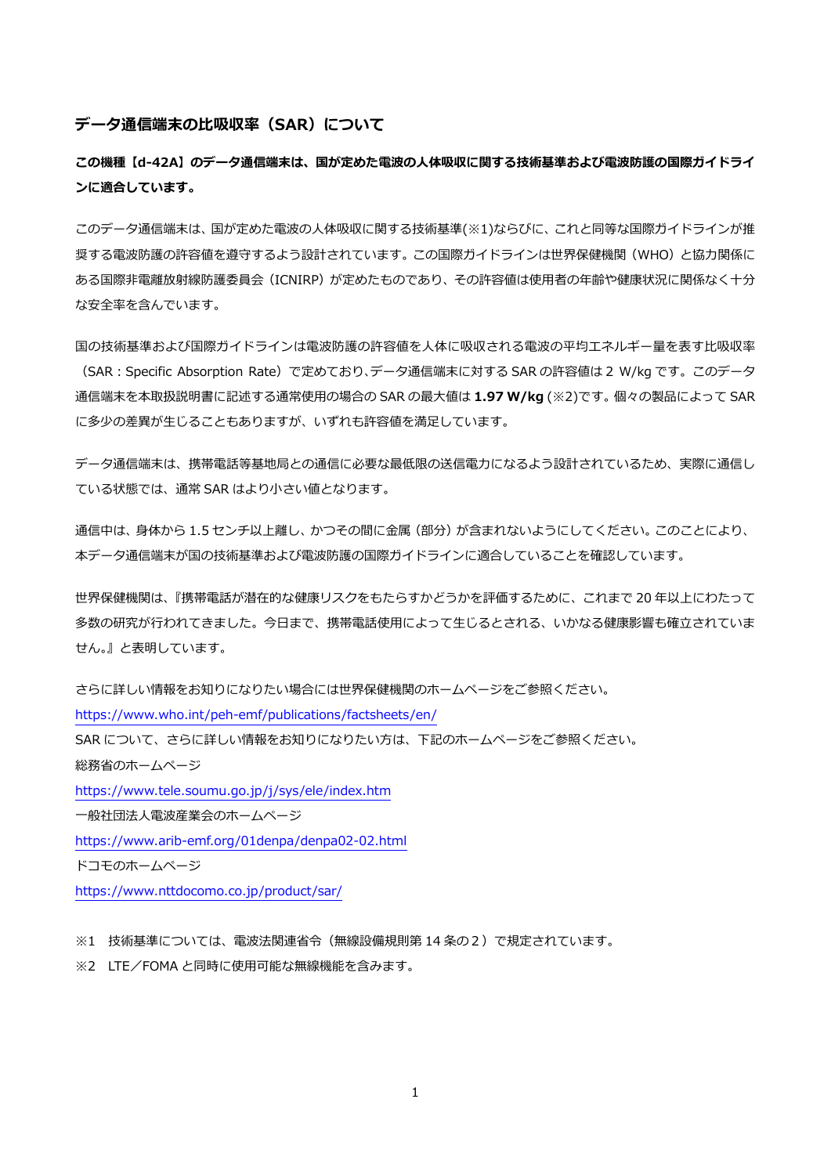#### **データ通信端末の⽐吸収率(SAR)について**

**この機種【d-42A】のデータ通信端末は、国が定めた電波の⼈体吸収に関する技術基準および電波防護の国際ガイドライ ンに適合しています。** 

このデータ通信端末は、国が定めた電波の人体吸収に関する技術基準(※1)ならびに、これと同等な国際ガイドラインが推 奨する電波防護の許容値を遵守するよう設計されています。この国際ガイドラインは世界保健機関(WHO)と協力関係に ある国際非電離放射線防護委員会(ICNIRP)が定めたものであり、その許容値は使用者の年齢や健康状況に関係なく十分 な安全率を含んでいます。

国の技術基準および国際ガイドラインは電波防護の許容値を人体に吸収される電波の平均エネルギー量を表す比吸収率 (SAR︓Specific Absorption Rate)で定めており、データ通信端末に対する SAR の許容値は 2 W/kg です。このデータ 通信端末を本取扱説明書に記述する通常使⽤の場合の SAR の最⼤値は **1.97 W/kg** (※2)です。個々の製品によって SAR に多少の差異が生じることもありますが、いずれも許容値を満足しています。

データ通信端末は、携帯電話等基地局との通信に必要な最低限の送信電⼒になるよう設計されているため、実際に通信し ている状態では、通常 SAR はより⼩さい値となります。

通信中は、身体から 1.5 センチ以上離し、かつその間に金属 (部分) が含まれないようにしてください。このことにより、 本データ通信端末が国の技術基準および電波防護の国際ガイドラインに適合していることを確認しています。

世界保健機関は、『携帯電話が潜在的な健康リスクをもたらすかどうかを評価するために、これまで 20 年以上にわたって 多数の研究が行われてきました。今日まで、携帯電話使用によって牛じるとされる、いかなる健康影響も確立されていま せん。』と表明しています。

さらに詳しい情報をお知りになりたい場合には世界保健機関のホームページをご参照ください。 https://www.who.int/peh-emf/publications/factsheets/en/ SAR について、さらに詳しい情報をお知りになりたい方は、下記のホームページをご参照ください。 総務省のホームページ https://www.tele.soumu.go.jp/j/sys/ele/index.htm ⼀般社団法⼈電波産業会のホームページ https://www.arib-emf.org/01denpa/denpa02-02.html ドコモのホームページ

https://www.nttdocomo.co.jp/product/sar/

※1 技術基準については、電波法関連省令(無線設備規則第 14 条の2)で規定されています。

※2 LTE/FOMA と同時に使用可能な無線機能を含みます。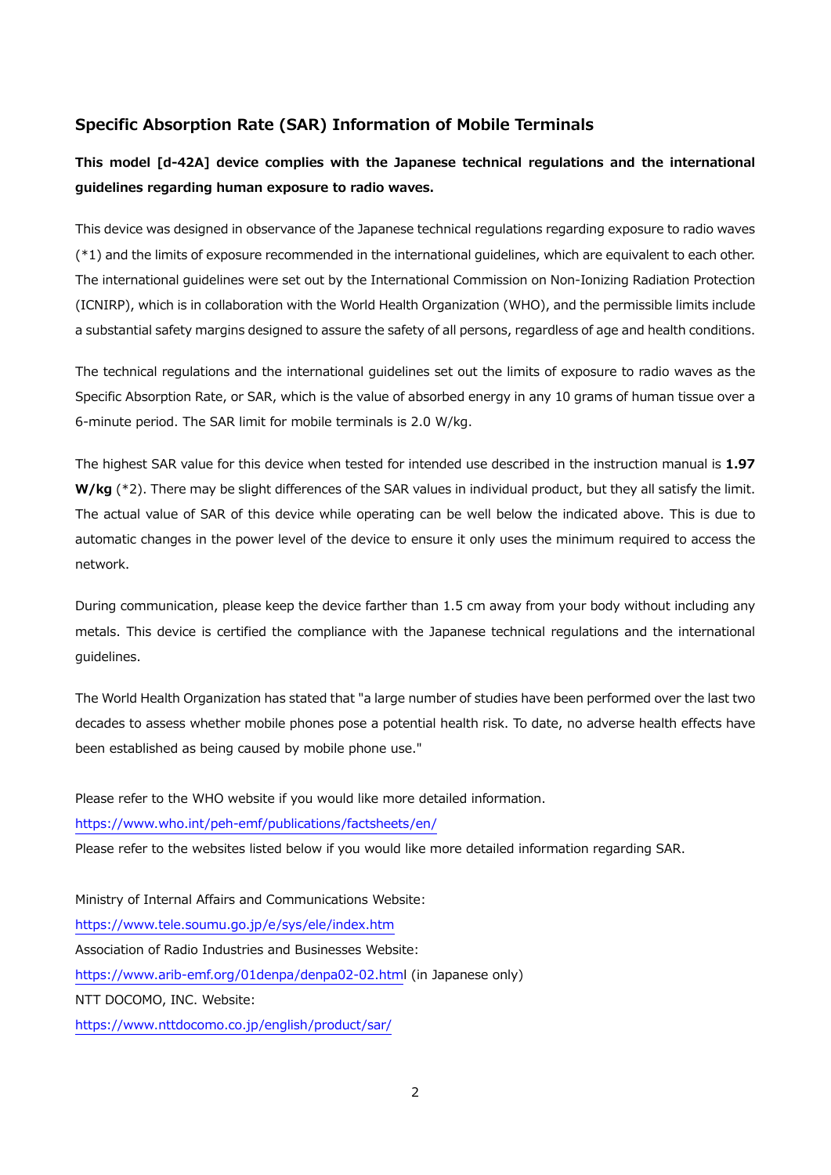### **Specific Absorption Rate (SAR) Information of Mobile Terminals**

# **This model [d-42A] device complies with the Japanese technical regulations and the international guidelines regarding human exposure to radio waves.**

This device was designed in observance of the Japanese technical regulations regarding exposure to radio waves (\*1) and the limits of exposure recommended in the international guidelines, which are equivalent to each other. The international guidelines were set out by the International Commission on Non-Ionizing Radiation Protection (ICNIRP), which is in collaboration with the World Health Organization (WHO), and the permissible limits include a substantial safety margins designed to assure the safety of all persons, regardless of age and health conditions.

The technical regulations and the international guidelines set out the limits of exposure to radio waves as the Specific Absorption Rate, or SAR, which is the value of absorbed energy in any 10 grams of human tissue over a 6-minute period. The SAR limit for mobile terminals is 2.0 W/kg.

The highest SAR value for this device when tested for intended use described in the instruction manual is **1.97 W/kg** (\*2). There may be slight differences of the SAR values in individual product, but they all satisfy the limit. The actual value of SAR of this device while operating can be well below the indicated above. This is due to automatic changes in the power level of the device to ensure it only uses the minimum required to access the network.

During communication, please keep the device farther than 1.5 cm away from your body without including any metals. This device is certified the compliance with the Japanese technical regulations and the international guidelines.

The World Health Organization has stated that "a large number of studies have been performed over the last two decades to assess whether mobile phones pose a potential health risk. To date, no adverse health effects have been established as being caused by mobile phone use."

Please refer to the WHO website if you would like more detailed information. https://www.who.int/peh-emf/publications/factsheets/en/ Please refer to the websites listed below if you would like more detailed information regarding SAR. Ministry of Internal Affairs and Communications Website: https://www.tele.soumu.go.jp/e/sys/ele/index.htm Association of Radio Industries and Businesses Website: https://www.arib-emf.org/01denpa/denpa02-02.html (in Japanese only) NTT DOCOMO, INC. Website:

https://www.nttdocomo.co.jp/english/product/sar/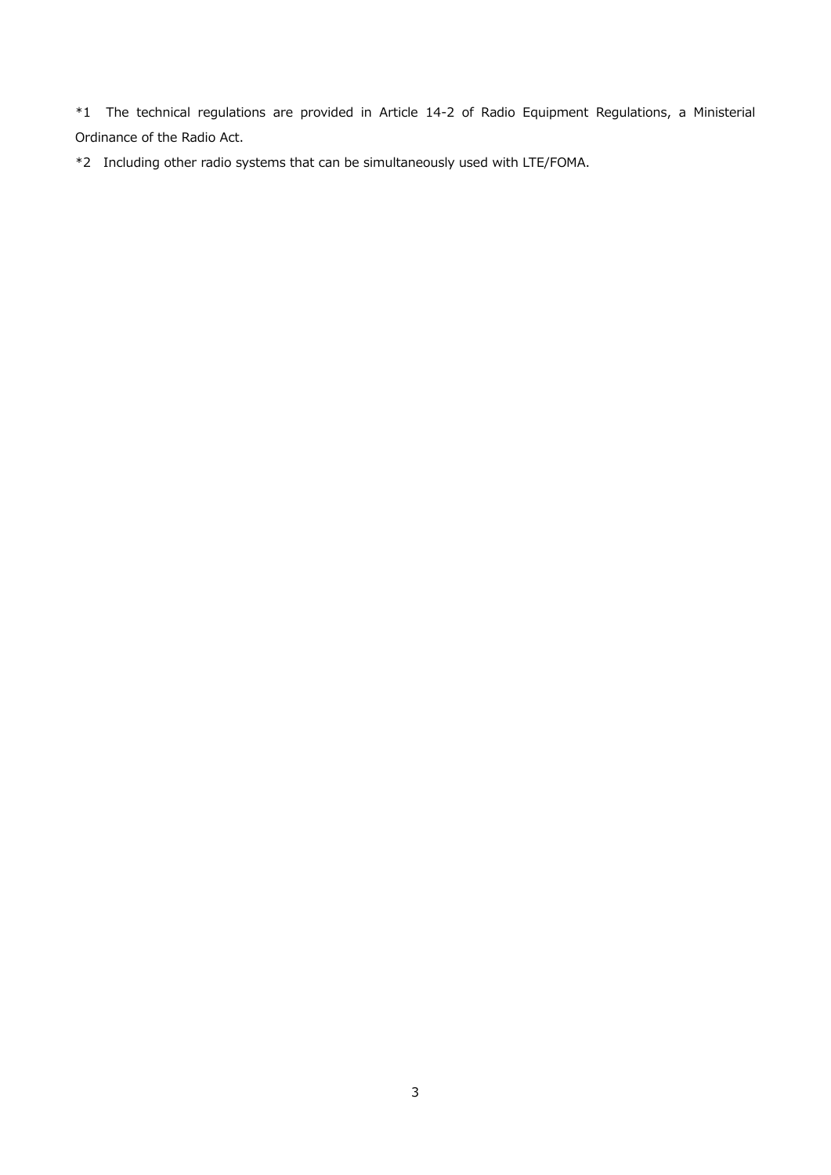\*1 The technical regulations are provided in Article 14-2 of Radio Equipment Regulations, a Ministerial Ordinance of the Radio Act.

\*2 Including other radio systems that can be simultaneously used with LTE/FOMA.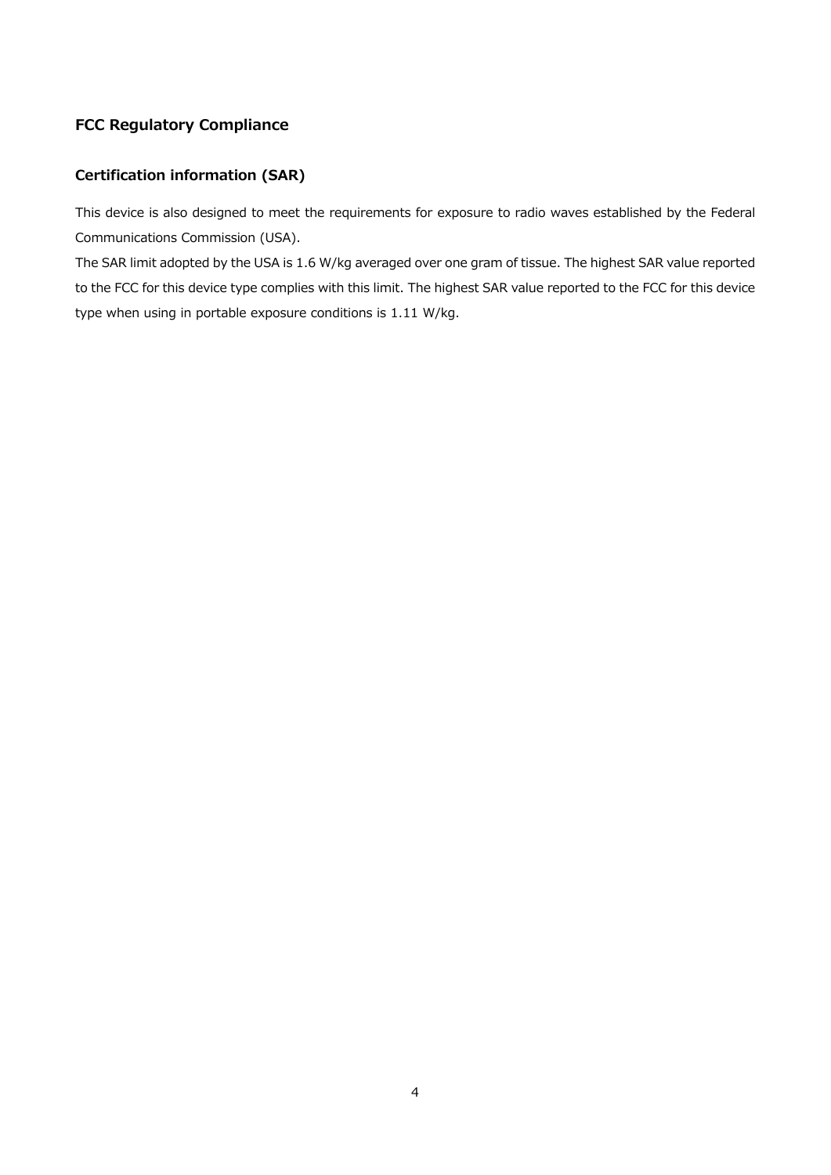## **FCC Regulatory Compliance**

# **Certification information (SAR)**

This device is also designed to meet the requirements for exposure to radio waves established by the Federal Communications Commission (USA).

The SAR limit adopted by the USA is 1.6 W/kg averaged over one gram of tissue. The highest SAR value reported to the FCC for this device type complies with this limit. The highest SAR value reported to the FCC for this device type when using in portable exposure conditions is 1.11 W/kg.